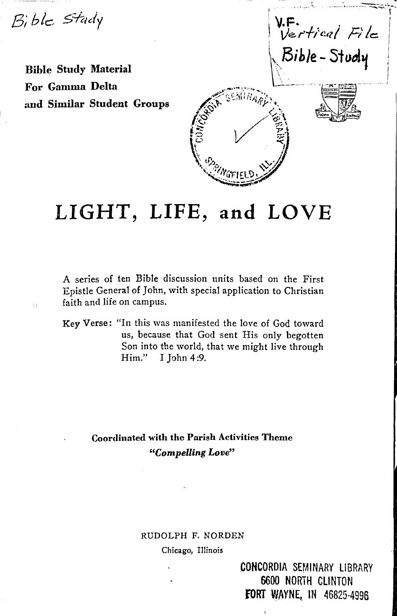Bible Stady

 $\mathcal{L}$ 

Ł,

**Bible Study Material For Gamma Delta and Similar Student Groups** 



# **LIGHT, LIFE, and LOVE**

A series of ten Bible discussion units based on the First Epistle General of John, with special application to Christian faith and life on campus.

**Key Verse:** "In this was manifested the love of God toward us, because that God sent His only begotten Son into the world, that we might live through Him." I John 4 :9.

> **Coordinated with the Parish Activities Theme**  *"Compelling Love"*

# RUDOLPH F. NORDEN

Chicago, Illinois

CONCORDIA SEMINARY LIBRARY 6600 NORTH CLINTON **FORT WAYNE, IN 46825-4996**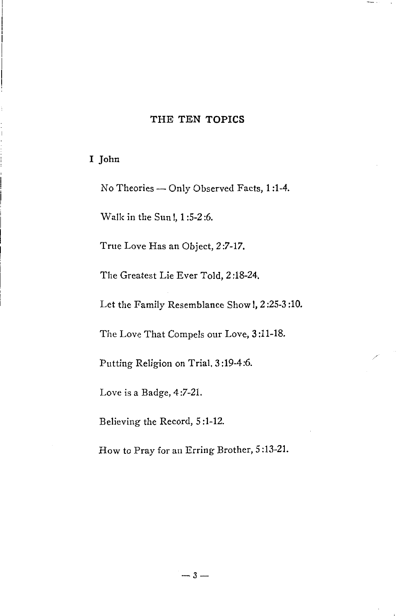# THE TEN TOPICS

I John

No Theories - Only Observed Facts, 1:1-4.

Walk in the Sun!, 1 :5-2 :6.

True Love Has an Object, 2 :7-17.

The Greatest Lie Ever Told, 2 :18-24.

Let the Family Resemblance Show I, 2 :25-3 :10.

The Love That Compels our Love, 3 :11-18.

Putting Religion on Trial. 3 :19-4:6.

Love is a Badge, 4:7-21.

Believing the Record, 5 :1-12.

How to Pray for an Erring Brother, 5 :13-21.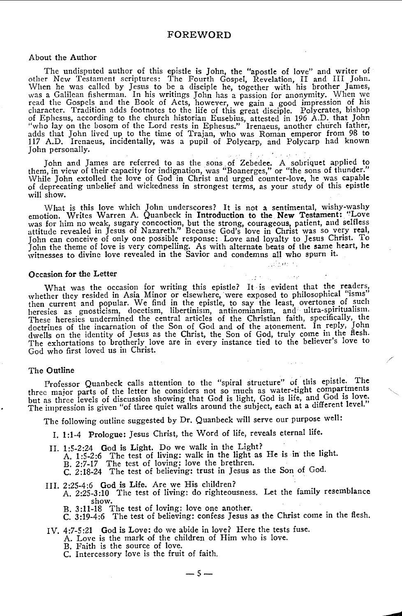# **FOREWORD**

#### About the Author

The undisputed author of this epistle is John, the "apostle of love" and writer of other New Testament scriptures: The Fourth Gospel, Revelation, II and III John. When he was called by Jesus to be a disciple he, together with his brother James,<br>was a Galilean fisherman. In his writings John has a passion for anonymity. When we<br>read the Gospels and the Book of Acts, however, we gain of Ephesus, according to the church historian Eusebius, attested in 196 A.D. that John<br>"who lay on the bosom of the Lord rests in Ephesus." Irenaeus, another church father,<br>adds that John lived up to the time of Trajan, wh 117 A.D. Irenaeus, incidentally, was a pupil of Polycarp, and Polycarp had known John personally.

John and James are referred to as the sons of Zebedee. A sobriquet applied to them, in view of their capacity for indignation, was "Boanerges," or "the sons of thunder." vVhile John extolled the love of God in Christ and urged counter-love, he was capable of deprecating unbelief and wickedness in strongest terms, as your study of this epistle will show.

What is this love which John underscores? It is not a sentimental, wishy-washy emotion. Writes Warren A. Quanbeck in Introduction to the New Testament: "Love emotion. Writes Warren A. Quanbeck in Introduction to the New Testament: "Love was for him no weak, sugary concoction, but the strong, courageous, patient, and selfless attitude revealed in Jesus of Nazareth." Because God's love in Christ was so very real, John can conceive of only one possible response: Love and loyalty to Jesus Christ. To John the theme of love is very compelling. As with alternate beats of the same heart, he witnesses to divine love revealed in the Savior and condemns all who spurn it.

العاصرون والأمان

### **Occasion for the Letter**

What was the occasion for writing this epistle? It is evident that the readers, whether they resided in Asia Minor or elsewhere, were exposed to philosophical "isms" then current and popular. We find in the epistle, to say the least, overtones of such heresies as gnosticism, clocetism, libertinism, antinomianism, and ultra-spiritualism. These heresies undermined the central articles of the Christian faith, specifically, the doctrines of the incarnation of the Son of God and of the atonement. In reply, John dwells on the identity of Jesus as the Christ, th The exhortations to brotherly love are in every instance tied to the believer's love to God who first loved us in Christ.

#### The Outline

Professor Quanbeck calls attention to the "spiral structure" of this epistle'. The three major parts of the letter he considers not so much as water-tight compartments but as three levels of discussion showing that God is light, God is life, and God 1s love. The impression is given "of three quiet walks around the subject, each at a different level."

/

The following outline suggested by Dr. Quanbeck will serve our purpose well:

- I. 1:1-4 Prologue: Jesus Christ, the Word of life, reveals eternal life.
- II. 1 :5-2:24 God is Light. Do we walk in the Light? A. 1:5-2:6 The test of living: walk in the light as He is in the light. B. 2:7-17 The test of loving: love the brethren. C. 2:18-24 The test of believing: trust in Jesus as the Son of God.
- 

III. 2:25-4:6 God is Life. Are we His children?<br>A. 2:25-3:10 The test of living: do righteousness. Let the family resemblance show.

- B. 3:11-18 The test of loving: love one another.<br>C. 3:19-4:6 The test of believing: confess Jesus as the Christ come in the flesh.
- IV. 4:7-5:21 God is Love: do we abide in love? Here the tests fuse.

A. Love is the mark of the children of Him who is love.

- B. Faith is the source of love.
- C. Intercessory love is the fruit of faith.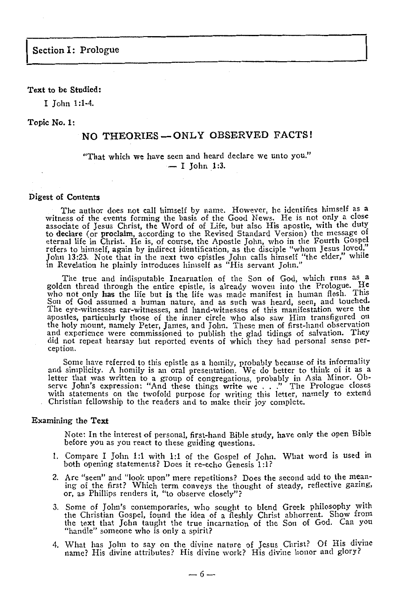# Text to be Studied:

I John 1:1-4.

### Topic No. I:

# NO THEORIES-ONLY OBSERVED FACTS!

# "That which we have seen and heard declare we unto you."  $- I$  John 1:3.

#### **Digest of Contents**

The author d-0es not call himself by name. However, he identifies himself as a witness of the events forming the basis of the Good News. He is not only a close associate of Jesus Christ, the Word of of Life, but also His apostle, with the duty to declare (or proclaim, according to the Revised Standard Version) the message of eternal life in Christ. He is, of course, the Apostle John, who in the Fourth Gospel refers to himself, again by indirect identification, as the disciple "whom Jesus loved," John 13:23. Note that in the next two epistles John calls himself "the elder," while in Revelation he plainly introduces himself as "His servant John."

The true and indisputable Incarnation of the Son of God, which runs as a golden thread through the entire epistle, is already woven into the Prologue. He who not only has the life but is the life was made manifest in human Son of God assumed a human nature, and as such was heard, seen, and touched. The eye-witnesses ear-witnesses, and hand-witnesses of this manifestation were the apostles, particularly those of the inner circle who also saw Him transfigured on the holy mount, namely Peter, James, and John. These men of first-hand observation and experience were commissioned to publish the glad tidings of salvation. They did not repeat hearsay but reported events of which they had personal sense perception.

Some have referred to this epistle as a homily, probably because of its informality and simplicity. A homily is an oral presentation. We do better to think of it as a and simplicity. A homily is an oral presentation. We do better to think of it as a letter that was written to a group of congregations, probably in Asia Minor. Observe John's expression: "And these things write we . . ." Christian fellowship to the readers and to make their joy complete.

# **Examining the Text**

Note: In the interest of personal, first-hand Bible study, have only the open Bible before you as you react to these guiding questions.

- I. Compare I John **1 :1** with 1 :1 of the Gospel of John. What word is used **in**  both opening statements? Does it re-echo Genesis 1:1?
- 2. Are "seen" and "look upon" mere repetitions? Does the second add to the mean- ing of the first? Which term conveys the thought of steady, reflective gazing, or, as Phillips renders it, "to observe closely"?
- 3. Some of John's contemporaries, who sought to blend Greek philosophy with the Christian Gospel, found the idea of a fleshly Christ abhorrent. Show from the text that John taught the true incarnation of the Son of God. Can you "handle" someone who is only a spirit?
- 4. What has John to say on the divine nature of Jesus Christ? Of His divine name? His divine attributes? His divine work? His divine honor and glory?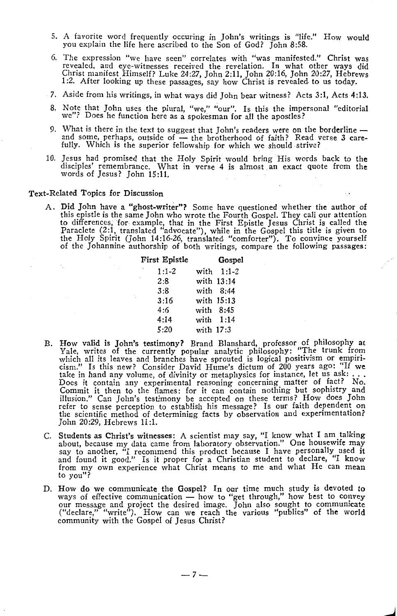- 5. A favorite word frequently occuring in John's writings is "life." How would you explain the life here ascribed to the Son of God? John 8:58.
- 6. The expression "we have seen" correlates with "was manifested." Christ was revealed, and eye-witnesses received the revelation. In what other ways did Christ manifest Himself? Luke 24:27, John 2:11, John 20:16, John 20:27, Hebrews 1 :2. After looking up these passages, say how Christ is revealed to us today.
- 7. Aside from his writings, in what ways did John bear witness? Acts 3:1, Acts 4:13.
- 8. Note that John uses the plural, "we," "our". Is this the impersonal "editorial we"? Does he function here as a spokesman for all the apostles?
- 9. What is there in the text to suggest that John's readers were on the borderline and some, perhaps, outside of the brotherhood of faith? Read verse 3 care-<br>fully. Which is the superior fellowship for which we should
- 10. Jesus had promised that the Holy Spirit would bring His words back to the disciples' remembrance. What in verse 4 is almost an exact quote from the words of Jesus? John 15:11.

A. Did John have a "ghost-writer"? Some have questioned whether the author of this epistle is the same John who wrote the Fourth Gospel. They call our attention to differences, for, example, that in the First Epistle Jesus Christ is called the Paraclete (2:1, translated "advocate"), while in the Gospel this title is given to the Holy Spirit (John 14:16-26, translated "comforter"). To convince yourself of the Johannine authorship of both writings, compare the following passages:

| First Epistle |           | Gospel      |
|---------------|-----------|-------------|
| ,<br>$1:1-2$  |           | with 1:1-2  |
| 2:8           |           | with 13:14  |
| 3:8           |           | with 8:44   |
| 3:16          |           | with 15:13  |
| 4:6           |           | with $8:45$ |
| 4:14          |           | with 1:14   |
| 5:20          | with 17:3 |             |

- B. How valid is John's testimony? Brand Blanshard, professor of philosophy at Yale, writes of the currently popular analytic philosophy: "The trunk from which all its leaves and branches have sprouted is logical positivism or empiricism." Is this new? Consider David Hume's dictum of 200 years ago: "If we take in hand any volume, of divinity or metaphysics for instance, let us ask:...<br>Does it contain any experimental reasoning concerning matter of fac Commit it then to the flames: for it can contain nothing but sophistry and illusion." Can John's testimony be accepted on these terms? How does John refer to sense perception to establish his message? Is our faith dependent on the scientific method of determining facts by observation and experimentation? John 20:29, Hebrews 11 :1.
- C. Students as Christ's witnesses: A scientist may say, "I know what I am talking about, because my data came from laboratory observation." One housewife may say to another, "I recommend this product because I have personally used it and found it good." Is it proper for a Christian student to declare, "I know from my own experience what Christ means to me and what He can mean to you"?
- D. How do we communicate the Gospel? In our time much study is devoted to ways of effective communication - how to "get through," how best to convey our message and project the desired image. John also sought to communicate ("declare," "write"). How can we reach the various "publics" of the world community with the Gospel of Jesus Christ?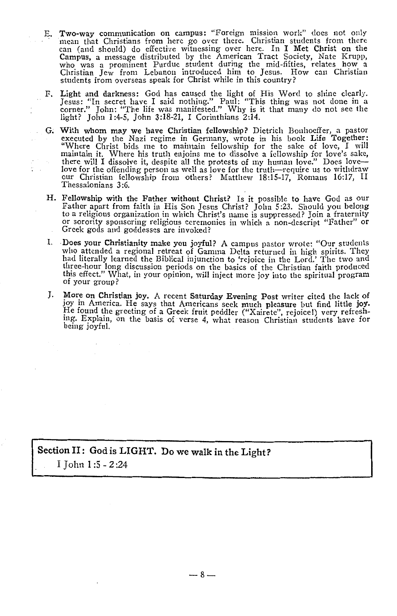- E. Two-way communication on campus: "Foreign mission work" does not only mean that Christians from here go over there. Christian students from there can (and should) do effective witnessing over here. In I Met Christ on th Campus, a message distributed by the American Tract Society, Nate Krupp, who was a prominent Purdue student during the mid-fifties, relates how a Christian Jew from Lebanon introduced him to Jesus. How can Christian students from overseas speak for Christ while in this country?
- F. Light and darkness: God has caused the light of His Word to shine clearly.<br>Jesus: "In secret have I said nothing." Paul: "This thing was not done in a corner." John: "The life was manifested." Why is it that many do not light? John 1 :4-5, John 3:18-21, I Corinthians 2:14.
- G; With whom may we have Christian fellowship? Dietrich Bonhocffer, a pastor executed by the Nazi regime in Germany, wrote in his book Life Together: "Where Christ bids me to maintain fellowship for the sake of love, I will maintain it. Where his truth enjoins me to dissolve a fellowship for love's sake, there will I dissolve it, despite all the protests of my human love." Does love love for the offending person as well as love for the truth-require us to withdraw our Christian fellowship from others? Matthew 18:15-17, Romans 16:17, II Thessalonians 3 :6.
- H. Fellowship with the Father without Christ? Is it possible to have God as our Father apart from faith in His Son Jesus Christ? John 5:23. Should you belong or sorority sponsoring religious ceremonies in which a non-descript "Father" or<br>Greek gods and goddesses are invoked?
- I. **Does your Christianity make you joyful?** A campus pastor wrote: "Our students who attended a regional retreat of Gamma Delta returned in high spirits. They had literally learned the Biblical injunction to 'rejoice in the Lord.' The two and three-hour long discussion periods on the basics of the Christian faith produced this effect.'' What, in your opinion, will inject more joy into the spiritual program of your group?
- J. More on Christian joy. A recent Saturday Evening Post writer cited the lack of joy in America. He says that Americans seek much pleasure but find little joy.<br>He found the greeting of a Greek fruit peddler ("Xairete", rejoice!) very refreshmg. Explam, on the basis of verse 4, what reason Christian students have for being joyful.

**Section** II: **God is LIGHT. Do we walk in the Light?**  I John 1 :5 - 2:24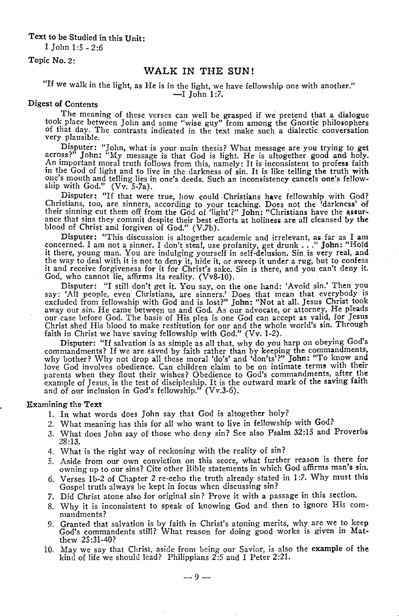Text to be Studied in this Unit:

I John 1:5 -2:6

Topic No. 2:

# **WALK IN THE SUN!**

# "If we walk in the light, as He is in the light, we have fellowship one with another."<br> $\overline{-1}$  John 1:7.

### Digest of Contents

The meaning of these verses can well be grasped if we pretend that a dialogue took place between John and some "wise guy" from among the Gnostic philosophers of that day. The contrasts indicated in the text make such a dialectic conversation very plausible.

· Disputer: "John, what is your main thesis? What message are you trying to **gc:t**  across?" John: "My message is that God is light. He is altogether good and holy.<br>An important moral truth follows from this, namely: It is inconsistent to profess faith<br>in the God of light and to live in the darkness of si one's mouth and telling lies in one's deeds. Such an inconsistency cancels one's fellow-<br>ship with God." (Vv. 5-7a).

Disputer: "If that were true, how could Christians have fellowship with God? Christians, too, are sinners, according to your teaching. Does not the 'darkness' of<br>their sinning cut them off from the God of 'light'?" John: "Christians have the assur-<br>ance that sins they commit despite their best effo ance that sins they commit despite their best efforts at holiness are all cleansed by the blood of Christ and forgiven of God."  $(V.7b)$ .

Disputer: "This discussion is altogether academic and irrelevant, as far as I am<br>concerned. I am not a sinner. I don't steal, use profanity, get drunk . . ." John: "Hold<br>it there, young man. You are indulging yourself in s the way to deal with it is not to deny it, hide it, or sweep it under a rug, but to confess it and receive forgiveness for it for Christ's sake. Sin is there, and you can't deny it. God, who cannot lie, affirms its reality. (Vv8-10).

Disputer: "I still don't get it. You say, on the one hand: 'Avoid sin.' Then you say: 'All people, even Christians, are sinners.' Does that mean that everybody is excluded from fellowship with God and is lost?" John: "Not at all. Jesus Christ took away our sin. He came between us and God. As our advocate, or attorney, He pleads our case before God. The basis of His plea is one God can accept as valid, for Jesus Christ shed His blood to make restitution for our and the whole world's sin. Through faith in Christ we have saving fellowship with God." (Vv. 1-2).

Disputer: "If salvation is as simple as all that, why do you harp on obeying God's commandments? If we are saved by faith rather than by keeping the commandments, why bother? Why not drop all these moral 'do's' and 'don'ts'?" John: "To know and love God involves obedience. Can children claim to be on intimate terms with their parents when they flout their wishes? Obedience to God's commandments, after the<br>example of Jesus, is the test of discipleship. It is the outward mark of the saving faith and of our inclusion in God's fellowship." (Vv.3-6).

#### Examining the Text

- 1. In what words does John say that God is altogether holy?
- 2. What meaning has this for all who want to live in fellowship with God?
- 3. What does John say of those who deny sin? See also Psalm 32:15 and Proverbs 28:13.
- 4. What is the right way of reckoning with the reality of sin?
- 5. Aside from our own conviction on this score, what further reason is there for owning up to our sins? Cite other Bible statements in which God affirms man's **sin.**
- 6. Verses 1b-2 of Chapter 2 re-echo the truth already stated in 1:7. Why must this Gospel truth always be kept in focus when discussing sin?
- 7. Did Christ atone also for original sin? Prove it with a passage in this section.
- 8. Why it is inconsistent to speak of knowing God and then to ignore His commandments?
- 9. Granted that salvation is by faith in Christ's atoning merits, why are we to keep God's commandents still? What reason for doing good works is given in Matthew 25 :31-40?
- 10. May we say that Christ, aside from being our Savior, is also the **example** of the kind of life we should lead? Philippians 2:5 and I Peter 2:21.

 $-9-$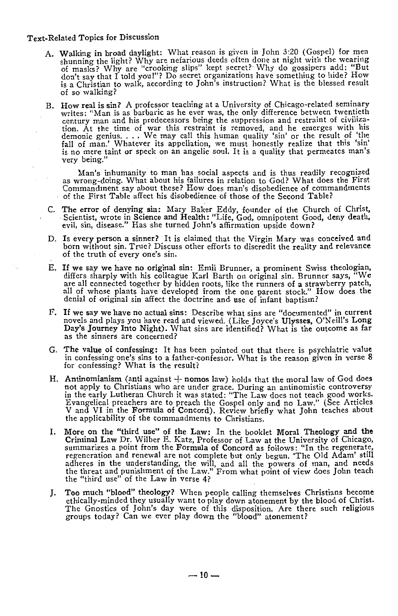- A. Walking in broad daylight: What reason is given in John 3:20 (Gospel) for men shunning the light? Why are nefarious deeds often done at night with the wearing of masks? Why are "crooking slips" kept secret? Why do gossi don't say that I told you I"? Do secret organizations have something to hide? How is a Christian to walk, according to John's instruction? What is the blessed result of so walking?
- B. How real is sin? A professor teaching at a University of Chicago-related seminary writes: "Man is as barbaric as he ever was, the only difference between twentieth century man and his predecessors being the suppression and restraint of civilization. At the time of war this restraint is removed, and he emerges with his demonic genius.... We may call this human quality 'sin' or the result of 'the fall of man.' Whatever its appellation, we must honestly realize th very being.''

Man's inhumanity to man has social aspects and is thus readily recognized as wrong-doing. What about his failures in relation to God? What does the First Commandment say about these? How does man's disobedience of commandments of the First Table affect his disobedience of those of the Second Table?

- C. The error of denying sin: Mary Baker Eddy, founder of the Church of Christ, Scientist, wrote in Science and Health: "Life, God, omnipotent Good, deny death, evil, sin, disease." Has she turned John's affirmation upside down?
- D. Is every person a sinner? It is claimed that the Virgin Mary was conceived and born without sin. True? Discuss other efforts to discredit the reality and relevance of the truth of every one's sin.
- E. If **we say we have no original sin:** Emil Brunner, a prominent Swiss theologian, differs sharply with his colleague Karl Barth on original sin. Brunner says, "We are all connected together by hidden roots, like the runners of **a** strawberry patch, all of whose plants have developed from the one parent stock.'' How does **the**  denial of original sin affect the doctrine and use of infant baptism?
- F. If we say we have no actual sins: Describe what sins are "documented" in current novels and plays you have read and viewed. (Like Joyce's Ulysses, O'Neill's Long Day's Journey Into Night). What sins are identified? What is the outcome as far as the sinners are concerned?
- G. The value of confessing: It has been pointed out that there is psychiatric value in confessing one's sins to a father-confessor. What is the reason given in verse 8 for confessing? What is the result?
- H. Antinomianism (anti against  $+$  nomos law) holds that the moral law of God does not apply to Christians who are under grace. During an antinomistic controversy in the early Lutheran Church it was stated: "The Law does not teach good works. Evangelical preachers are to preach the Gospel only and no Law.'' (See Articles V and VI in the Formula of Concord). Review briefly what John teaches about the applicability of the commandments to Christians.
- I. More on the "third use" of the Law: In the booklet Moral Theology and **the**  Criminal Law Dr. Wilber E. Katz, Professor of Law at the University of Chicago, summarizes a point from the Formula of Concord as follows: "In the regenerate, regeneration and renewal are not complete but only begun. 'The Old Adam' still adheres in the understanding, the will, and all the powers of man, and needs the threat and punishment of the Law.'' From what point of view does John teach the "third use" of the Law in verse 4?
- J. Too much "blood" theology? When people calling themselves Christians become ethically-minded they usually want to play down atonement by the blood of Christ. The Gnostics of John's day were of this disposition. Are there such religious groups today? Can we ever play down the "blood" atonement?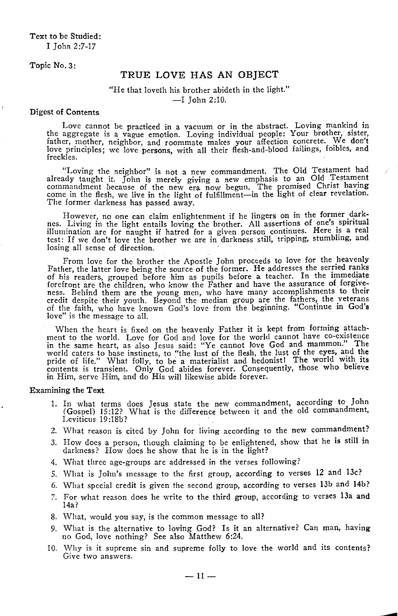Topic No. 3:

# TRUE LOVE HAS AN OBJECT

# "He that loveth his brother abideth in the light."  $-I$  John 2:10.

### Digest of Contents

Love cannot be practiced in a vacuum or in the abstract. Loving mankind in the aggregate is a vague emotion. Loving individual people: Your brother, sister, father, mother, neighbor, and roommate makes your affection concrete. We don't love principles; we love persons, with all their flesh-and-blood failings, foibles, and freckles.

"Loving the neighbor" is not a new commandment. The Old Testament had already taught it. John is merely giving a new emphasis to an Old Testament<br>commandment because of the new era now begun. The promised Christ having<br>come in the flesh, we live in the light of fulfillment—in the light of cl The former darkness has passed away.

However, no one can claim enlightenment if he lingers on in the former dark-<br>nes. Living in the light entails loving the brother. All assertions of one's spiritual illumination are for naught if hatred for a given person continues. Here is a real test: If we don't love the brother we are in darkness still, tripping, stumbling, and losing all sense of direction.

From love for the brother the Apostle John proceeds to love for the heavenly Father, the latter love being the source of the former. He addresses the serried ranks of his readers, grouped before him as pupils before a teacher. In the immediate ness. Behind them are the young men, who have many accomplishments to their credit despite their youth. Beyond the median group are the fathers, the veterans of the faith, who have known God's love from the beginning. "Continue in God's love" is the message to all.

When the heart is fixed on the heavenly Father it is kept from forming attachment to the world. Love for God and love for the world cannot have co-existence in the same heart, as also Jesus said: "Ye cannot love God and mammon." The world caters to base instincts, to "the lust of the flesh, the lust of the eyes, and the pride of life." What folly, to be a materialist and hedonist! The world with its contents is transient. Only God abides forever. Consequently, those who believe in Him, serve Him, and do His will likewise abide forever.

- 1. In what terms does Jesus state the new commandment, according to John (Gospel) IS :12? What is the difference between it and the old commandment, Leviticus 19:18b?
- 2. What reason is cited by John for living according to the new commandment?
- 3. How does a person, though claiming to be enlightened, show that he is still in darkness? How does he show that he is in the light?
- 4. What three age-groups are addressed in the verses following?
- 5. What is John's message to the first group, according to verses 12 and 13c?
- 6. What special credit is given the second group, according to verses 13b and 14b?
- *7.* For what reason does he write to the third group, according to verses 13a and 14a?
- 8. What, would you say, is the common message to all?
- *9.* What is the alternative to loving God? Is it an alternative? Can man, having no God, love nothing? See also Matthew 6:24.
- 10. Why is it supreme sin and supreme folly to love the world and its contents? Give two answers.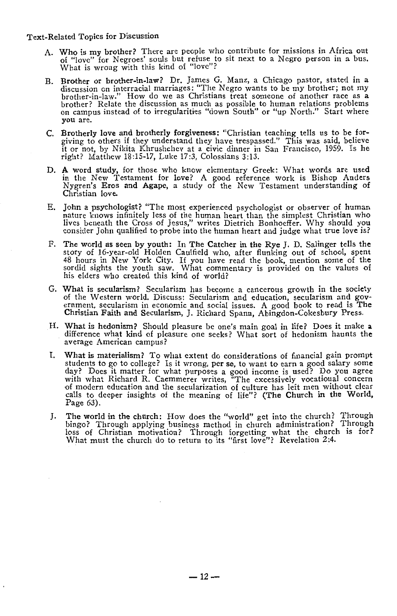- A. Who is my brother? There are people who contribute for missions in Africa out of "love" for Negroes' souls but refuse to sit next to a Negro person in a bus. What is wrong with this kind of "love"?
- B. Brother or brother-in-law? Dr. James G. Manz, a Chicago pastor, stated in a discussion on interracial marriages: "The Negro wants to be my brother; not my brother-in-law." How do we as Christians treat someone of anothe brother? Relate the discussion as much as possible to human relations problems<br>on campus instead of to irregularities "down South" or "up North." Start where you are.
- C. Brotherly love and brotherly forgiveness: "Christian teaching tells us to be forgiving to others if they understand they have trespassed." This was said, believe it or not, by Nikita Khrushchev at a civic dinner in San Francisco, 1959. Is he right? Matthew 18:15-17, Luke 17:3, Colossians 3:13.
- D. A word study, for those who know elementary Greek: What words are used in the New Testament for love? A good reference work is Bishop Anders Nygren's Eros and Agape, a study of the New Testament understanding of Christian love.
- E. John a psychologist? "The most experienced psychologist or observer of human nature knows infinitely less of the human heart than the simplest Christian who lives beneath the Cross of Jesus," writes Dietrich Bonhoeffer. Why should you consider John qualified to probe into the human heart and judge what true love is?
- F. The world as seen by youth: In The Catcher in the Rye J. D. Salinger tells the story of 16-year-old Holden Caulfield who, after flunking out of school, spent 48 hours in New York City. If you have read the book, mention some of the sordid sights the youth saw. What commentary is provided on the values of his elders who created this kind of world?
- G. What is secularism? Secularism has become a cancerous growth in the society of the Western world. Discuss: Secularism and education, secularism and government, secularism in economic and social issues. A good book to read is The Christian Faith and Secularism, J. Richard Spann, Abingdon-Cokesbury Press.
- H. What is hedonism? Should pleasure be one's main goal in life? Does it make a. difference what kind of pleasure one seeks? What sort of hedonism haunts the average American campus?
- I. What is materialism? To what extent do considerations of financial gain prompt students to go to college? Is it wrong, per se, to want to earn a good salary some day? Does it matter for what purposes a good income is used? Do you agree with what Richard R. Caemmerer writes, "The excessively vocational concern of modern education and the secularization of culture has left men without clear calls to deeper insights of the meaning of life"? **(The Church** in **the World,**  Page 63).
- J. The world in the church: How does the "world" get into the church? Through bingo? Through applying business method in church administration? Through loss of Christian motivation? Through forgetting what the church is for? What must the church do to return to its "first love"? Revelation 2:4.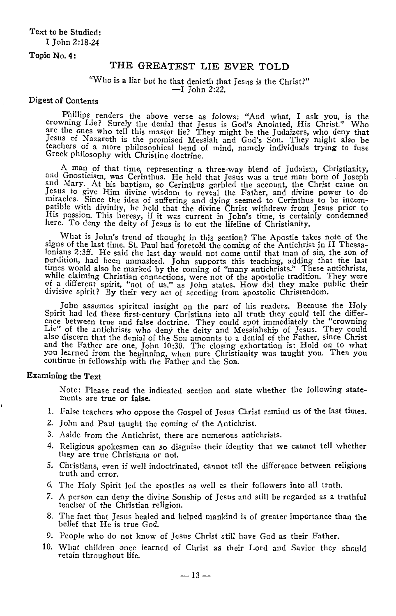Topic **No. 4:** 

# THE GREATEST LIE EVER TOLD

# "Who is a liar but he that denieth that Jesus is the Christ?" -I John 2:22.

### Digest of Contents

Phillips renders the above verse as folows: "And what, I ask you, is the crowning Lie? Surely the denial that Jesus is God's Anointed, His Christ." Who are the ones who tell this master lie? They might be the Judaizers, wh Jesus of Nazareth is the promised Messiah and God's Son. They might also be<br>teachers of a more philosophical bend of mind, namely individuals trying to fuse Greek philosophy with Christine doctrine.

A man of that time, representing a three-way blend of Judaism, Christianity, and Gnosticism, was Cerinthus. He held that Jesus was a true man born of Joseph and Mary. At his baptism, so Cerinthus garbled the account, the Christ came on<br>Jesus to give Him divine wisdom to reveal the Father, and divine power to do<br>miracles. Since the idea of suffering and dying seemed to Cerinthu patible with divinity, he held that the divine Christ withdrew from Jesus prior to His passion. This heresy, if it was current in John's time, is certainly condemned here. To deny the deity of Jesus is to cut the lifeline of Christianity.

What is John's trend of thought in this section? The Apostle takes note of the signs of the last time. St. Paul had foretold the coming of the Antichrist in II Thessalonians 2:3ff. He said the last day would not come until that man of sin, the son of perdition, had been unmasked. John supports this teaching, adding that the last times would also be marked by the coming of "many antichrists." These antichrists, while claiming Christian connections, were not of the apostolic tradition. They were of a different spirit, "not of us," as John states. Ho divisive spirit? By their very act of seceding from apostolic Christendom.

John assumes spiritual insight on the part of his readers. Because the Holy Spirit had led these first-century Christians into all truth they could tell the differ-Spirit had led these first-century Christians into all truth they could tell the differ-<br>ence between true and false doctrine. They could spot immediately the "crowning Lie" of the antichrists who deny the deity and Messiahship of Jesus. They could also discern that the denial of the Son amounts to a denial of the Father, since Christ and the Father are one, John 10:30. The closing exhortation is: Hold on to what you learned from the beginning, when pure Christianity was taught you. Then you continue in fellowship with the Father and the Son.

### Examining the Text

*Note:* Please read the indicated section and state whether the following statements are true or false.

- I. False teachers who oppose the Gospel of Jesus Christ remind us of the last times.
- 2. John and Paul taught the coming of the Antichrist.
- 3. Aside from the Antichrist, there are numerous antichrists.
- 4. Religious spokesmen can so disguise their identity that we cannot tell whether they are true Christians or not.
- 5. Christians, even if well indoctrinated, cannot tell the difference between religious truth and error.
- 6. The Holy Spirit led the apostles as well as their followers into all truth.
- *7.* A person can deny the divine Sonship of Jesus and still be regarded as a truthful teacher of the Christian religion.
- 8. The fact that Jesus healed and helped mankind is of greater importance than the belief that He is true God.
- 9. People who do not know of Jesus Christ still have God as their Father.
- 10. What children once learned of Christ as their Lord and Savior they should retain throughout life.

 $-$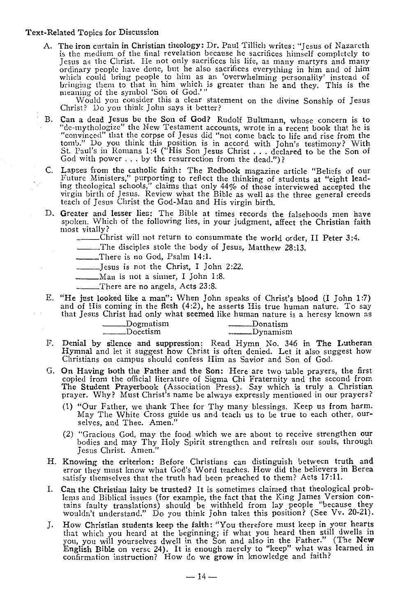A. The iron curtain in Christian theology: Dr. Paul Tillich writes: "Jesus of Nazareth is the medium of the final revelation because he sacrifices himself completely to Jesus as the Christ. He not only sacrifices his life, as many martyrs and many ordinary people have done, but he also sacrifices everything in him and of him which could bring people to him as an 'overwhelming personality' instead of liringing them to that in him which is greater than he and they. This is the meaning of the symbol 'Son of God.'"

Would you consider this a clear statement on the divine Sonship of Jesus Christ? Do you think John says it better?

- B. Can a dead Jesus be the Son of God? Rudolf Bultmann, whose concern is to "de-mythologize" the New Testament accounts, wrote in a recent book that he is "convinced" that the corpse of Jesus did "not come back to life and rise from the tomb." Do you think this position is in accord with John's testimony? With<br>St. Paul's in Romans 1:4 ("His Son Jesus Christ . . . declared to be the Son of<br>God with power . . . by the resurrection from the dead.")?
- C. Lapses from the catholic faith: The Redbook magazine article "Beliefs of our Future Ministers," purporting to reflect the thinking of students at "eight leading theological schools," claims that only 44% of those interviewed accepted the virgin birth of Jesus. Review what the Bible as well as the three general creeds teach of Jesus Christ the God-Man and His virgin birth.
- D. Greater and lesser lies: The Bible at times records the falsehoods men have spoken. Which of the following lies, in your judgment, affect the Christian faith most vitally?

\_\_\_ Christ will not return to consummate the world order, II Peter <sup>3</sup>:4.

\_\_\_ The disciples stole the body of Jesus, Matthew 28:13. \_\_ There is no God, Psalm 14:1.

- \_\_ Jesus is not the Christ, I John 2:22.
- \_\_\_ Man is not a sinner, I John 1 :8.
	- \_\_\_ There are no angels, Acts 23 :8.
- E. "He just looked like a man": When John speaks of Christ's blood (I John 1 :7) and of His coming in the flesh (4:2), he asserts His true human nature. To say

|  |          |  |  |  | that Jesus Christ had only what seemed like human nature is a heresy known as |          |                  |  |  |  |  |  |
|--|----------|--|--|--|-------------------------------------------------------------------------------|----------|------------------|--|--|--|--|--|
|  | Docetism |  |  |  |                                                                               | Donatism |                  |  |  |  |  |  |
|  |          |  |  |  |                                                                               |          | <u></u> Dynamism |  |  |  |  |  |

- F. Denial by silence and suppression: Read Hymn No. 346 in The Lutheran Hymnal and let it suggest how Christ is often denied. Let it also suggest how Christians on campus should confess Him as Savior and Son of God.
- G. On Having both the Father and the Son: Here are two table prayers, the first copied from the official literature of Sigma Chi Fraternity and the second from The Student Prayerbook (Association Press). Say which is truly a Christian prayer. Why? Must Christ's name be always expressly mentioned in our prayers?
	- (1) "Our Father, we thank Thee for Thy many blessings. Keep us from harm. May The White Cross guide us and teach us to be true to each other, ourselves, and Thee. Amen.''
	- (2) "Gracious God, may the food which we are about to receive strengthen our bodies and may Thy Holy Spirit strengthen and refresh our souls, through Jesus Christ. Amen."
- H. Knowing the criterion: Before Christians can distinguish between truth and error they must know what God's Word teaches. How did the believers in Berea satisfy themselves that the truth had been preached to them? Acts 17:11.
- I. Can the Christian laity be trusted? It is sometimes claimed that theological problems and Iliblical issues (for example, the fact that the King James Version con- tains faulty translations) should be withheld from lay people "because they wouldn't understand." Do you think John takes this position? (See Vv. 20-21).
- J. How Christian students keep the faith: "You therefore must keep in your hearts that which you heard at the beginning; if what you heard then still dwells **in**  you, you will yourselves dwell in the Son and also in the Father." (The **New** English Bible on verse 24). It is enough merely to "keep" what was learned in confirmation instruction? How do we grow in knowledge and faith?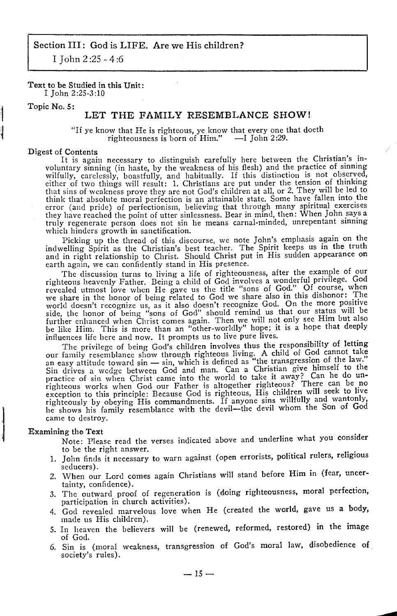I John 2 :25 - 4:6

# Text to be Studied in this Unit:

I John 2:25-3:10

# Topic No. 5:

# LET THE FAMILY RESEMBLANCE SHOW!

"If ye know that He is righteous, ye know that every one that doeth righteousness is born of Him." -I John 2:29.

#### Digest of Contents

It is again necessary to distinguish carefully here between the Christian's involuntary sinning (in haste, by the weakness of his flesh) and the practice of sinning<br>wilfully, carelessly, boastfully, and habitually. If this distinction is not observed, either of two things will result: 1. Christians are put under the tension of thinking that sins of weakness prove they are not God's children at all, or 2. They will be led to think that absolute moral perfection is an attainable state. Some have fallen into the error (and pride) of perfectionism, believing that through many spiritual exercises they have reached the point of utter sinlessness. Bear in mind, then: When John says a<br>truly regenerate person does not sin he means carnal-minded, unrepentant sinning truly regenerate person does not sin he means carnal-minded, unrepentant sinning which hinders growth in sanctification.

Picking up the thread of this discourse, we note John's emphasis again on the indwelling Spirit as the Christian's best teacher. The Spirit keeps us in the truth and in right relationship to Christ. Should Christ put in His sudden appearance on earth again, we can confidently stand in His presence.

The discussion turns to living a life of righteousness, after the example of our righteous heavenly Father. Being a chilcl of Goel involves a wonderful privilege. God revealed utmost love when He gave us the title "sons of God." Of course, when we share in the honor of being related to God we share also in this dishonor: The world doesn't recognize us, as it also doesn't recognize God. On the more positive side, the honor of being "sons of God" should remind us that our status will be further enhanced when Christ comes again. Then we will not only see Him but also be like Him. This is more than an "other-worldly" hope; it is a hope that deeply

influences life here and now. It prompts us to live pure lives.<br>The privilege of being God's children involves thus the responsibility of letting The privilege of being God's children involves thus the responsibility of letting<br>our family resemblance show through righteous living. A child of God cannot take,<br>an easy attitude toward sin — sin, which is defined as "th Sin drives a wedge between God and man. Can a Christian give himself to the practice of sin when Christ came into the world to take it away? Can he do un-<br>righteous works when God our Father is altogether righteous? There can be no<br>exception to this principle: Because God is righteous, His childre exception to this principle. Because God is righteous, The chiral wantonly, righteously by obeying His commandments. If anyone sins willfully and wantonly, he shows his family resemblance with the devil-the devil whom the Son of God came to destroy.

### Examining the Text

Note: Please read the verses indicated above and underline what you consider to be the right answer.

- 1. John finds it necessary to warn against ( open errorists, political rulers, religious seducers).
- 2. When our Lord comes again Christians will stand before Him in (fear, uncertainty, confidence).
- 3. The outward proof of regeneration is (doing righteousness, moral perfection, participation in church activities).
- 4. God revealed marvelous love when He (created the world, gave us a body, made us His children).
- 5. In heaven the believers will be (renewed, reformed, restored) in the image of God.
- 6. Sin is (moral weakness, transgression of God's moral law, disobedience of society's rules).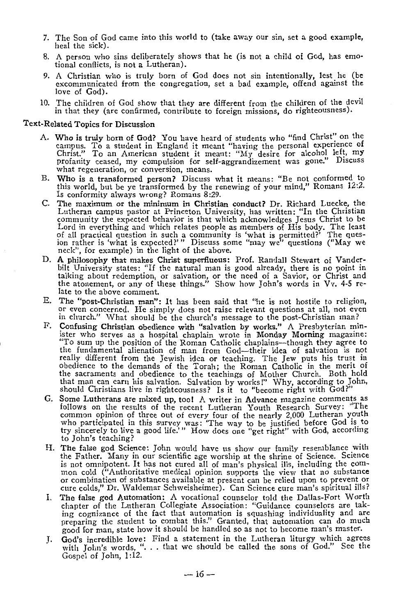- *7.* The Son of God came into this world to (take away our sin, set a good example, heal the sick).
- 8. A person who sins deliberately shows that he (is not a child of God, has emo- tional conflicts, is not a Lutheran).
- 9. A Christian who is truly born of God does not sin intentionally, lest he **(be**  excommunicated from the congregation, set a bad example, offend against **the**  love of God).
- 10. The children of God show that they are different from the children of the devil in that they (are confirmed, contribute to foreign missions, do righteousness).

- A. Who is truly born of God? You have heard of students who "find Christ" on the campus. To a student in England it meant "having the personal experience of Christ." To an American student it meant: "My desire for alcohol left, my profanity ceased, my compulsion for self-aggrandizement was gone." Discuss what regeneration, or conversion, means.
- B. Who is a transformed person? Discuss what it means: "Be not conformed to this world, but be ye transformed by the renewing of your mind," Romans 12:2. Is conformity always wrong? Romans 8:29.
- C. The maximum or the minimum in Christian conduct? Dr. Richard Luecke, the Lutheran campus pastor at Princeton University, has written: "In the Christian community the expected behavior is that which acknowledges Jesus Christ to be Lord in everything and which relates people as members of His body. The least of all practical question in such a community is 'what is permitted?' The quesion rather is 'what is expected?'" Discuss some "may we" questions ("May **we** neck", for example) in the light of the above.
- D. A philosophy that makes Christ superfluous: Prof. Randall Stewart of Vander-bilt University states: "If the natural man is good already, there is no point in talking about redemption, or salvation, or the need of a Savior, or Christ and the atonement, or any of these things." Show how John's words in Vv. 4-5 re-<br>late to the above comment.
- E. The "post-Christian man": It has been said that "he is not hostile to religion, or even concerned. He simply does not raise relevant questions at all, not even in church." What should be the church's message to the post
- F. Confusing Christian obedience with "salvation by works." A Presbyterian minister who serves as a hospital chaplain wrote in Monday Morning magazine: "To sum up the position of the Roman Catholic chaplains-though they agree to the fundamental alienation of man from God-their idea of salvation is not really different from the Jewish idea or teaching. The Jew puts his trust in obedience to the demands of the Torah; the Roman Catholic in the merit of the sacraments and obedience to the teachings of Mother Church. Both hold that man can earn his salvation. Salvation by works I" Why, according to John, should Christians live in righteousness? Is it to "become right with God?"
- G. Some Lutherans are mixed up, too! A writer in Advance magazine comments as follows on the results of the recent Lutheran Youth Research Survey: "The common opinion of three out of every four of the nearly 2,000 Lutheran who participated in this survey was: 'The way to be justified before God is to try sincerely to live a good life.'" How does one "get right" with God, according to John's teaching?
- H. The false god Science: John would have us show our family resemblance with the Father. Many in our scientific age worship at the shrine of Science. Science is not omnipotent. It has not cured all of man's physical ills, including the common cold ("Authoritative medical opinion supports the view that no substance<br>or combination of substances available at present can be relied upon to prevent or<br>cure colds," Dr. Waldemar Schweisheimer). Can Science cure man
- I. The false god Automation: A vocational counselor told the Dallas-Fort Worth chapter of the Lutheran Collegiate Association: "Guidance counselors are taking cognizance of the fact that automation is squashing individuality and are preparing the student to combat this." Granted, that automation can do much good for man, state how it should be handled so as not to become man's master.
- J. God's incredible love: Find a statement in the Lutheran liturgy which agrees with John's words, " ... that we should be called the sons of God." See the Gospel of John, 1 :12.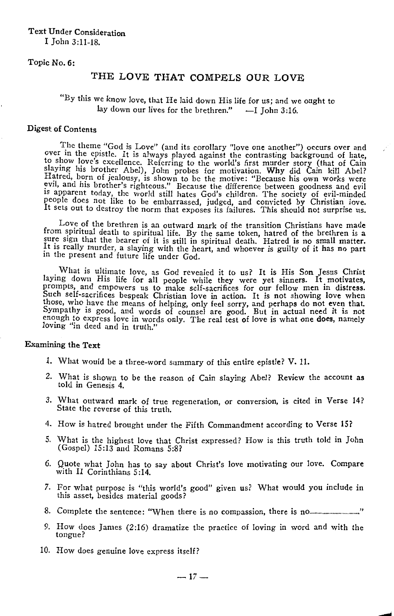# Text Under Consideration I John 3:11-18.

# Topic No. 6:

# THE LOVE THAT COMPELS OUR LOVE

# "By this we know love, that He laid down His life for us; and *we* ought to lay down our lives for the brethren."  $-I$  John 3:16.

### Digest of Contents

The theme "God is Love" (and its corollary "love one another") occurs over and<br>over in the epistle. It is always played against the contrasting background of hate,<br>to show love's excellence. Referring to the world's first slay mg his brother Abel), John probes for motivation. **Why** did Cain kill Abel? Hatred, born of jealousy, is shown to be the motive: "Because his own works were evil, and his brother's righteous." Because the difference between goodness and evil 1s apparent today, the world still hates God's children. The society of evil-minded people does not like to be embarrassed, judged, and convicted by Christian love. It sets out to destroy the norm that exposes its failures. This should not surprise us.

Love of the brethren is an outward mark of the transition Christians have made from spiritual death to spiritual life. By the same token, hatred of the brethren is a sure sign that the bearer of it is still in spiritual death. Hatred is no small matter. It is really murder, a slaying with the heart, and whoever is guilty of it has no part in the present and future life under God.

What is ultimate love, as God revealed it to us? It is His Son Jesus Christ<br>laying down His life for all people while they were yet sinners. It motivates,<br>prompts, and empowers us to make self-sacrifices for our fellow men Such self-sacrifices bespeak Christian love in action. It is not showing love when those, who have the means of helping, only feel sorry, and perhaps do not **even** that. Sympathy is good, and words of counsel are good. But in actual need it is not enough to express love in words only. The real test of love is what one **does,** namely loving "in deed and in truth."

- 1. What would be a three-word summary of this entire epistle? V. 11.
- 2. What is shown to be the reason of Cain slaying Abel? Review the account as told in Genesis 4.
- 3. What outward mark of true regeneration, or conversion, is cited in Verse 14? State the reverse of this truth.
- 4. How is hatred brought under the Fifth Commandment according to Verse 15?
- 5. What is the highest love that Christ expressed? How is this truth told in John (Gospel) 15:13 and Romans 5:8?
- 6. Quote what John has to say about Christ's love motivating our love. Compare with II Corinthians 5 :14.
- 7. For what purpose is "this world's good" given us? What would you include in this asset, besides material goods?
- 8. Complete the sentence: "When there is no compassion, there is no ..................................... "
- 9. How does James (2:16) dramatize the practice of loving in word and with the tongue?
- 10. How does genuine love express itself?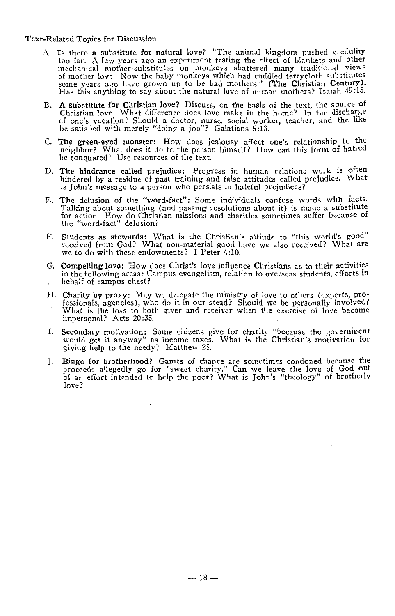- A. Is there a substitute for natural love? "The animal kingdom pushed credulity too far. A few years ago an experiment testing the effect of blankets and other mechanical mother-substitutes on monkeys shattered many traditional views some years ago have grown up to be bad mothers." (The Christian Century). Has this anything to say about the natural love of human mothers? Isaiah 49 :15.
- B. A substitute for Christian love? Discuss, on the basis of the text, the source of Christian love. What difference does love make in the home? In the discharge of one's vocation? Should a doctor, nurse, social worker, teacher, and the like be satisfied with merely "doing a job"? Galatians 5:13.
- C. The green-eyed monster: How does jealousy affect one's relationship to the neighbor? What does it do to the person himself? How can this form of hatred be conquered? Use resources of the text.
- D. The hindrance called prejudice: Progress in human relations work is often hindered by a residue of past training and false attitudes called prejudice. What is John's message to a person who persists in hateful prejudices?
- E. The delusion of the "word-fact": Some individuals confuse words with facts. Talking about something (and passing resolutions about it) is made a substitute for action. How do Christian missions and charities sometimes suffer because of the "word-fact" delusion?
- F. Students as stewards: What is the Christian's attiude to "this world's good" received from God? What non-material good have we also received? What are we to do with these endowments? I Peter 4:10.
- G. **Compelling love:** How does Christ's love influence Christians as to their activities in the·following areas: Campus evangelism, relation to overseas students, efforts **in**  behalf of campus chest?
- II. Charity by proxy: May we delegate the ministry of love to others (experts, professionals, agencies), who do it in our stead? Should we be personally involved? What is the loss to both giver and receiver when the exercise of love become impersonal? Acts 20:35.
- I. Secondary motivation: Some citizens give for charity "because the government would get it anyway" as income taxes. What is the Christian's motivation for giving help to the needy? Matthew 25.
- J. Bingo for brotherhood? Games of chance are sometimes condoned because the proceeds allegedly go for "sweet charity." Can we leave the love of God out of an effort intended to help the poor? What is John's "theology" of brotherly love?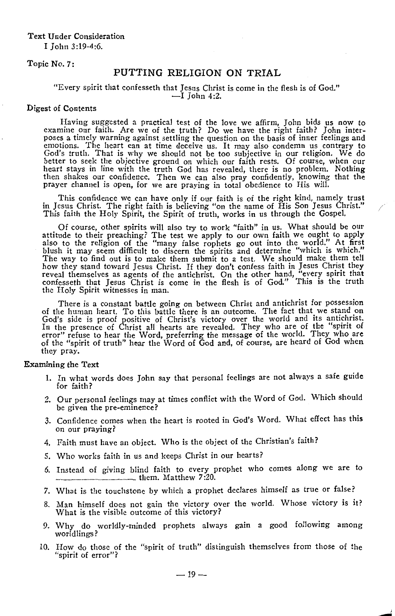### Text Under Consideration

I John 3:19-4:6.

### Topic No. 7:

# PUTTING RELIGION ON TRIAL

### "Every spirit that confesseth that Jesus Christ is come in the flesh is of God."  $-I$  John 4:2.

# Digest of Contents

Having suggested a practical test of the love we affirm, John bids us now to examine our faith. Are we of the truth? Do we have the right faith? John interposes a timely warning against settling the question on the basis of inner feelings and emotions. The heart can at time deceive us. It may also condemn us contrary to God's truth. That is why we should not be too subjective in our religion. We do better to seek the objective ground on which our faith rests. Of course, when our heart stays in line with the truth God has revealed, there is no problem. Nothing then shakes our confidence. Then we can also pray confidently, knowing that the prayer channel is open, for we are praying in total obedience to His will.

This confidence we can have only if our faith is of the right kind, namely trust in Jesus Christ. The right faith is believing "on the name of His Son Jesus Christ." This faith the Holy Spirit, the Spirit of truth, works in us through the Gospel.

Of course, other spirits will also try to work "faith" in us. What should be our attitude to their preaching? The test we apply to our own faith we ought to apply also to the religion of the "many false rophets go out into the world." At first blush it may seem difficult to discern the spirits and determine "which is which." The way to find out is to make them submit to a test. We should make them tell how they stand toward Jesus Christ. If they don't confess faith in Jesus Christ they reveal themselves as agents of the antichrist. On the other hand, "every spirit that confesseth that Jesus Christ is come in the flesh is of God." This is the truth the Holy Spirit witnesses in man.

There is a constant battle going on between Christ and antichrist for possession of the human heart. To this battle there is an outcome. The fact that we stand on God's side is proof positive of Christ's victory over the world. and its antichrist. In the presence of Christ all hearts are revealed. They who are of the "spirit of error" refuse to hear the Word, preferring the message of the world. They who are of the "spirit of truth" hear the Word of God and, of course, are heard of God when they pray.

- 1. In what words does John say that personal feelings are not always a safe guide for faith?
- 2. Our personal feelings may at times conflict with the Word of God. Which should be given the pre-eminence?
- 3. Confidence comes when the heart is rooted in God's Word. What effect has **this**  on our praying?
- 4. Faith must have an object. Who is the object of the Christian's faith?
- 5. Who works faith in us and keeps Christ in our hearts?
- 6. Instead of giving blind faith to every prophet who comes along we are to -----······················ them. Matthew *7* :20.
- 7. What is the touchstone by which a prophet declares himself as true or false?
- 8. Man himself docs not gain the victory over the world. Whose victory is it? What is the visible outcome of this victory?
- 9. Why do worldly-minded prophets always gain a good following among worldlings?
- 10. How do those of the "spirit of truth" distinguish themselves from those of the "spirit of error"?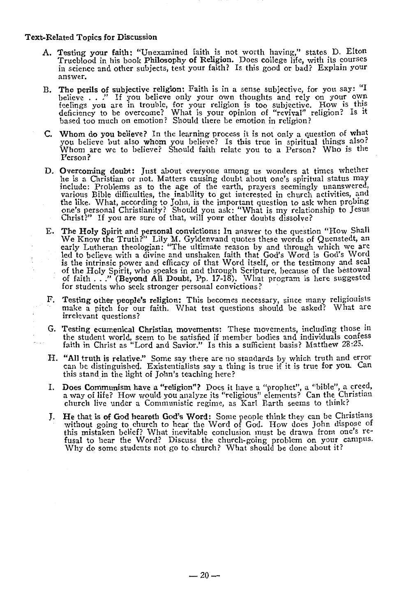- A. Testing your faith: "Unexamined faith is not worth having," states D. Elton Trueblood in his book Philosophy of Religion. Does college life, with its courses in science and other subjects, test your faith? Is this good or bad? Explain your answer.
- B. The perils of subjective religion: Faith is in a sense subjective, for you say: "I believe . . ." If you believe only your own thoughts and rely on your own The perils of subjective religion: Faith is in a sense subjective, for you say: "I believe . . ." If you believe only your own thoughts and rely on your own feelings you are in trouble, for your religion is too subjective deficiency to be overcome? What is your opinion of "revival" religion? Is it based too much on emotion? Should there be emotion in religion?
- C. Whom do you believe? In the learning process it is not only a question of what you believe but also whom you believe? Is this true in spiritual things also? Whom are we to believe? Should faith relate you to a Person? Who is the Person?
- D. Overcoming doubt: Just about everyone among us wonders at times whether he is a Christian or not. Matters causing doubt about one's spiritual status may include: Problems as to the age of the earth, prayers seemingly unanswered, various Bible difficulties, the inability to get interested in church activities, and the like. What, according to John, is the important question to ask when probing one's personal Christianity? Should you ask: "What is my relationship to Jesus Christ?" If you are sure of that, will your other doubts dissolve?
- E. The Holy Spirit and personal convictions: In answer to the question "How Shall We Know the Truth?" Lily M. Gyldenvand quotes these words of Quenstedt, an early Lutheran theologian: "The ultimate reason by and through which we are led to believe with a divine and unshaken faith that God's Word is God' is the intrinsic power and efficacy of that Word itself, or the testimony and seal of the Holy Spirit, who speaks in and through Scripture, because of the bestowal of faith ... " (Beyond **All** Doubt, Pp. 17-18). What program is here suggested for students who seek stronger personal convictions?
- F. Testing other people's religion: This becomes necessary, since many religionists make a pitch for our faith. What test questions should be asked? What are irrelevant questions?
- G. Testing ecumenical Christian movements: These movements, including those in the student world, seem to be satisfied if member bodies and individuals confess faith in Christ as "Lord and Savior." Is this a sufficient basis? Matthew 28 :25.
- H. "All truth is relative." Some say there are no standards by which truth and error can be distinguished. Existentialists say a thing is true if it is true for you. Can this stand in the light of John's teaching here?
- I. Does Communism have a "religion"? Does it have a "prophet", a "bible", a creed, a way of life? How would. you analyze its "religious" elements? Can the Christian church live under a Communistic regime, as Karl Barth seems to think?
- J. He that is of God heareth God's Word: Some people think they can be Christians without going to church to hear the Word of God. How does John dispose of this mistaken belief? What inevitable conclusion must be drawn from one's re- fusal to hear the Word? Discuss the church-going problem on your campus. Why do some students not go to church? What should be done about it?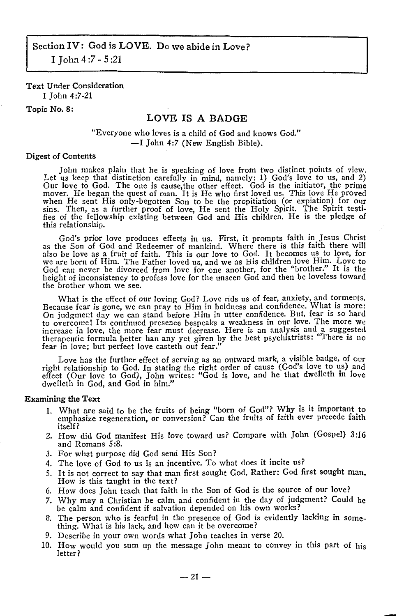# Text Under Consideration

I John 4:7-21

# Topic No. 8:

# LOVE IS A BADGE

# "Everyone who loves is a child of God and knows God." -I John 4:7 (New English Bible).

### Digest of Contents

John makes plain that he is speaking of love from two distinct points of view. Let us keep that distinction carefully in mind, namely: 1) God's love to us, and 2) Our love to God. The one is cause,the other effect. God is the initiator, the prime mover. He began the quest of man. It is He who first loved us. This love He proved when He sent His only-begotten Son to be the propitiation (or expiation) for our sins. Then, as a further proof of love, He sent the Holy Spirit. The Spirit testifies of the fellowship existing between God and His children. He is the pledge **of**  this relationship.

God's prior love produces effects in us. First, it prompts faith in Jesus Christ as the Son of God and Redeemer of mankind. Where there is this faith there will also be love as a fruit of faith. This is our love to God. It becomes us to love, for we are born of Him. The Father loved us, and we as His children love Him. Love to God can never be divorced from love for one another, for the "brother." It is the height of inconsistency to profess love for the unseen God and then be loveless toward the brother whom we see.

What is the effect of our loving God? Love rids us of fear, anxiety, and torments. Because fear is gone, we can pray to Him in boldness and confidence. What is more: On judgment day we can stand before Him in utter confidence. But, fear is so hard to overcome! Its continued presence bespeaks a weakness in our love. The more we increase in love, the more fear must decrease. Here is an analysis and a suggested therapeutic formula better han any yet given by the best psychiatrists: "There is no fear in love; but perfect love casteth out fear."

Love has the further effect of serving as an outward mark, a visible badge, of our right relationship to God. In stating the right order of cause (God's love to us) and effect (Our love to God), John writes: "God is love, and he that dwelleth in love dwelleth in God, and God in him."

- 1. What are said to be the fruits of being "born of God"? Why is it important to emphasize regeneration, or conversion? Can the fruits of faith ever precede faith itself?
- 2. How did God manifest His love toward us? Compare with John (Gospel) 3:16 and Romans 5 :8.
- 3. For what purpose did God send His Son?
- 4. The love of God to us is an incentive. To what does it incite us?
- 5. It is not correct to say that man first sought God. Rather: God first sought man. How is this taught in the text?
- 6. How does John teach that faith in the Son of God is the source of our love?
- *7.* Why may a Christian be calm and confident in the day of judgment? Could he be calm and confident if salvation depended on his own works?
- 8. The person who is fearful in the presence of God is evidently lacking in some- thing. What is his lack, and how can it be overcome?
- 9. Describe in your own words what John teaches in verse 20.
- 10. How would you sum up the message John meant to convey in this part of his letter?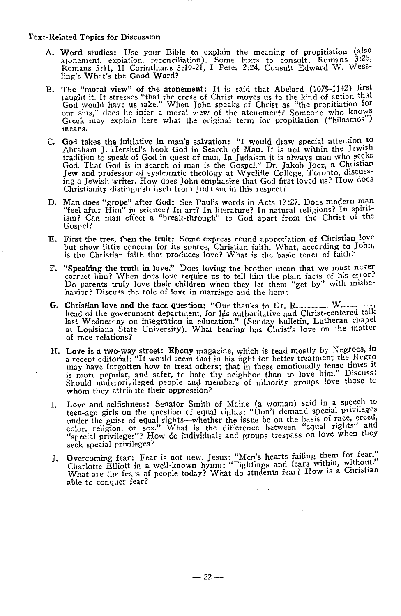- A. Word studies: Use your Bible to explain the meaning of propitiation (also atonement, expiation, reconciliation). Some texts to consult: Romans *3* :25, Romans 5:11, II Corinthians 5:19-21, I Peter 2:24. Consult Edward W. Wessling's What's the Good Word?
- B. The "moral view" of the atonement: It is said that Abelard (1079-1142) first taught it. It stresses "that the cross of Christ moves us to the kind of action that God would have us take." When John speaks of Christ as "the propitiation for our sins," does he infer a moral view of the atonement? Someone who knows Greek may explain here what the original term for propitiation ("hilasmos") means.
- C. God takes the initiative in man's salvation: "I would draw special attention. to Abraham J. Hershel's book God in Search of Man. It is not within the Jewish tradition to speak of God in quest of man. In Judaism it is always man who seeks God. That God is in search of man is the Gospel." Dr. Jakob Jocz, a Christian Jew and professor of systematic theology at Wycliffe College, Toronto, discussing a Jewish writer. How does John emphasize that God first loved us? How does Christianity distinguish itself from Judaism in this respect?
- D. Man does "grope" after God: See Paul's words in Acts 17:27. Does modern man "feel after Him" in science? In art? In literature? In natural religions? In spiritism? Can man effect a "break-through" to God apart from the Christ of the Gospel?
- E. First the tree, then the fruit: Some express round appreciation of Christian love but show little concern for its source, Christian faith. What, according to John, is the Christian faith that produces love? What is the basic tenet of faith?
- F. "Speaking the truth in love." Does loving the brother mean that we must never correct him? When does love require us to tell him the plain facts of his error? Do parents truly love their children when they let them "get by" with misbehavior? Discuss the role of love in marriage and the home.
- G. Christian love and the race question: "Our thanks to Dr. R. W. W. W. head of the government department, for his authoritative and Christ-centered talk last Wednesday on integration in education." (Sunday bulletin, Lutheran chapel at Louisiana State University). What bearing has Christ's love on the matter of race relations?
- H. Love is a two-way street: Ebony magazine, which is read mostly by Negroes, in a recent editorial: "It would seem that in his fight for better treatment the Negro may have forgotten how to treat others; that in these emotionally tense times it is more popular, and safer, to hate thy neighbor than to love him." Discuss: Should underprivileged people and members of minority groups love those to whom they attribute their oppression?
- I. Love and selfishness: Senator Smith of Maine (a woman) said in a speech to teen-age girls on the question of equal rights: "Don't demand special privileges under the guise of equal rights-whether the issue be on the basis of race, creed, color, religion, or sex." What is the difference between "equal rights" and "special privileges"? How do individuals and groups trespass on love when they seek special privileges?
- J. Overcoming fear: Fear is not new. Jesus: "Men's hearts failing them for fear."<br>Charlotte Elliott in a well-known hymn: "Fightings and fears within, without." What are the fears of people today? What do students fear? How is a Christian able to conquer fear?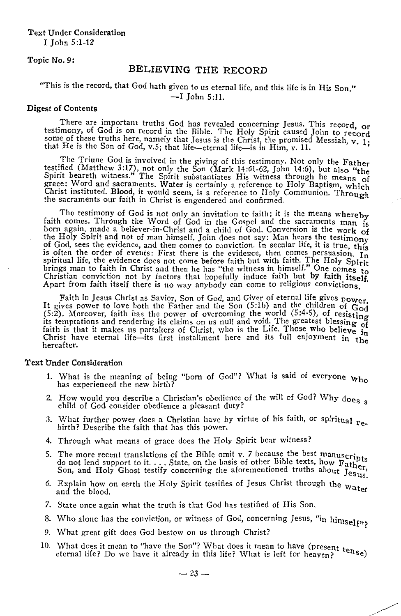Text Under Consideration I John 5 :1-12

Topic No. 9:

# BELIEVING THE RECORD

# "This is the record, that God hath given to us eternal life, and this life is in His Son." -I John 5:11.

### Digest of Contents

There are important truths God has revealed concerning Jesus. This record, or testimony, of God is on record in the Bible. The Holy Spirit caused John to record some of these truths here, namely that Jesus is the Christ, the promised Messiah, v. 1; that He is the Son of God, v.5; that life-eternal life-is in Him, v. 11.

The Triune God is involved in the giving of this testimony. Not only the Father testified (Matthew 3:17), not only the Son (Mark 14:61-62, John 14:6), but also **"the**  Spirit beareth witness." The Spirit substantiates His witness through he means of grace: Word and sacraments. Water is certainly a reference to Holy Baptism, which Christ instituted. Blood, it would seem, is a reference to Holy Communion. Through the sacraments our faith in Christ is engendered and confirmed.

The testimony of God is not only an invitation to faith; it is the means whereby faith comes. Through the Word of God in the Gospel and the sacraments man is born again, made a believer-in-Christ and a child of God. Conversion is the work of the Holy Spirit and not of man himself. John does not say: Man hears the testimony<br>of God, sees the evidence, and then comes to conviction. In secular life, it is true, this<br>is often the order of events: First there is the brings man to faith in Christ and then he has "the witness in himself." One comes to Christian conviction not by factors that hopefully induce faith but by faith itself. Apart from faith itself there is no way anybody can come to religious convictions.

Faith in Jesus Christ as Savior, Son of God, and Giver of eternal life gives power. It gives power to Jove both the Father and the Son (5:lb) and the children of God  $(5:2)$ . Moreover, faith has the power of overcoming the world  $(5:4-5)$ , of resisting its temptations and rendering its claims on us null and void: The greatest blessing of faith is that it makes us partakers of Christ, who is the Life. Those who believe in<br>Christ have eternal life—its first installment here and its full enjoyment in the hereafter.

#### Text Under Consideration

- 1. What is the meaning of being "born of God"? What is said of everyone who has experienced the new birth?
- 2. How would you describe a Christian's obedience of the will of God? Why does a child of God consider obedience a pleasant duty?
- 3. What further power does a Christian have by virtue of his faith, or spiritual  $r_{e}$ -<br>birth? Describe the faith that has this power.
- 4. Through what means of grace docs the Holy Spirit bear witness?
- 5. The more recent translations of the Bible omit v. 7 because the best manuscripts The more recent translations of the Bible omit v. The cause the best manuscripts<br>do not lend support to it.... State, on the basis of other Bible texts, how Father,<br>Son, and Holy Ghost testify concerning the aforementione
- 6. Explain how on earth the Holy Spirit testifies of Jesus Christ through the water and the blood.
- 7. State once again what the truth is that God has testified of His Son.
- 8. Who alone has the conviction, or witness of God, concerning Jesus, "in himself";
- 9. What great gift does God bestow on us through Christ?
- 10. What does it mean to "have the Son"? What does it mean to have (present  $t_{\text{eq}}$ ) eternal life? Do we have it already in this life? What is left for heaven?  $10$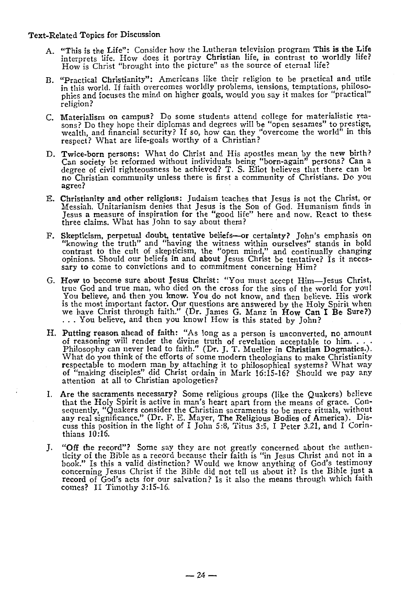- A. "This is the Life": Consider how the Lutheran television program This is the Life interprets life. How does it portray **Christian** life, in contrast to worldly life?<br>How is Christ "brought into the picture" as the source of eternal life?
- B. "Practical Christianity": Americans like their religion to be practical and- utile in this world. If faith overcomes worldly problems, tensions, temptations, philosophies and focuses the mind on higher goals, would you say it makes for "practical" religion?
- C. Materialism on campus? Do some students attend college for materialistic rea- sons? Do they hope their diplomas and degrees will be "open sesames" to prestige, wealth, and financial security? If so, how can they "overcome the world" in this respect? What are life-goals worthy of a Christian?
- D. Twice-born persons: What do Christ and His apostles mean by the new birth? Can society be reformed without individuals being "born-again" persons? Can a degree of civil righteousness be achieved? T. S. Eliot believes that there can be no Christian community unless there is first a community of Ch agree?
- E. Christianity and other religions: Judaism teaches that Jesus is not the Christ, or Messiah. Unitarianism denies that Jesus is the Son of God. Humanism finds in Jesus a measure of inspiration for the "good life" here and now. React to these three claims. What has John to say about them?
- F. Skepticism, perpetual doubt, tentative beliefs-or certainty? John's emphasis on "knowing the truth" and "having the witness within ourselves" stands in bold contrast to the cult of skepticism, the "open mind," and continually changing opinions. Should our beliefs in and about Jesus Christ be tentative? Is it neces- sary to come to convictions and to commitment concerning Him?
- G. How to become sure about Jesus Christ: "You must accept Him-Jesus Christ, true God and true man, who died on the cross for the sins of the world for you! You believe, and then you know. You do not know, and then believe. His work is the most important factor. Our questions are answered by the Holy Spirit when we have Christ through faith." (Dr. James G. Manz in How Can I Be Sure?) ... You believe, and then you know! How is this stated by John?
- H. Putting reason ahead of faith: "As long as a person is unconverted, no amount of reasoning will render the divine truth of revelation acceptable to him.... Philosophy can never lead to faith." (Dr. J. T. Mueller in Chri What do you think of the efforts of some modern theologians to make Christianity respectable to modern man by attaching it to philosophical systems? What way of "making disciples" did Christ ordain in Mark 16:15-16? Should we pay any attention at all to Christian apologetics?
- I. Are the sacraments necessary? Some religious groups (like the Quakers) believe that the Holy Spirit is active in man's heart apart from the means of grace. Consequently, "Quakers consider the Christian sacraments to be mere rituals, without any real significance." (Dr. F. E. Mayer, The Religious Bodies of America). Discuss this position in the light of I John 5:8, Titus 3:5, I P thians 10:16.
- J. **"Off the record"?** Some say they are not greatly concerned about the authenticity of the Bible as a record because their faith is "in Jesus Christ and not in a book." Is this a valid distinction? Would we know anything of God's testimony concerning Jesus Christ if the Bible did not tell us about it? Is the Bible just a **record** of God's acts for our salvation? Is it also the means through which faith comes? II Timothy 3:15-16.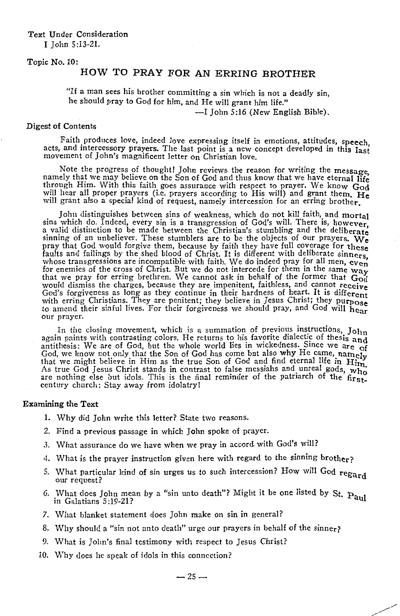# Text Under Consideration I John 5:13-21.

### Topic No. 10:

# HOW TO PRAY FOR AN ERRING BROTHER

"If a man sees his brother committing a sin which is not a deadly sin, he should pray to God for him, and He will grant him life."

-I John 5:16 (New English Bible).

### Digest of Contents

Faith produces love, indeed love expressing itself in emotions, attitudes, speech. acts, and intercessory prayers. The last point is a new concept developed in this last movement of John's magnificent letter on Christian love.

Note the progress of thought! John reviews the reason for writing the message. namely that we may believe on the Son of God and thus know that we have eternal life through Him. With this faith goes assurance with respect to prayer. We know God will hear all proper prayers (i.e. prayers according to His will) and grant them. **He**  will grant also a special kind of request, namely intercession for an erring brother.

John distinguishes between sins of weakness, which do not kill faith, and mortal sins which do. Indeed, every sin is a transgression of God's will. There is, however. sins which do. Indeed, every sin is a transgression of God's will. There is, however, a valid distinction to be made between the Christian's stumbling and the deliberate sinning of an unbeliever. These stumblers are to be the objects of our prayers. **We**  pray that God would forgive them, because by faith they have full coverage for these<br>faults and failings by the shed blood of Christ. It is different with deliberate sinners. whose transgressions are incompatible with faith. We do indeed pray for all men, even for enemies of the cross of Christ. But we do not intercede for them in the same way that we pray for erring brethren. We cannot ask in behalf of the former that  $\ddot{G}_{\rm od}$ would dismiss the charges, because they are impenitent, faithless, and cannot receive God's forgiveness as long as they continue in their hardness of heart. It is different with erring Christians. They are penitent; they believe in Jesus Christ; they purpose with erring constants. They are pentent, they believe in your prayer. They know our prayer.<br>to amend their sinful lives. For their forgiveness we should pray, and God will hear our prayer.

In the closing movement, which is a summation of previous instructions,  $J_{\text{Ohn}}$ again paints with contrasting colors. He returns to his favorite dialectic of thesis and antithesis: We are of God, but the whole world lies in wickedness. Since we are of God, we know not only that the Son of God has come but also why He came, namely that we might believe in Him as the true Son of God and find eternal life in Him.<br>As true God Jesus Christ stands in contrast to false messiahs and unreal gods, who are nothing else but idols. This is the final reminder of the patriarch of the firstcentury church: Stay away from idolatry!

- 1. Why did John write this letter? State two reasons.
- 2. Find a previous passage in which John spoke of prayer.
- 3. What assurance do we have when we pray in accord with God's will?
- 4. What is the prayer instruction given here with regard to the sinning brother?
- 5. What particular kind of sin urges us to such intercession? How will God  $regard$
- 6. What does John mean by a "sin unto death"? Might it be one listed by St.  $Pau$ in Galatians 5 :19-21?
- 7. What blanket statement does John make on sin in general?
- 8. Why should a "sin not unto death" urge our prayers in behalf of the sinner?
- 9. What is John's final testimony with respect to Jesus Christ?
- 10. Why does he speak of idols in this connection?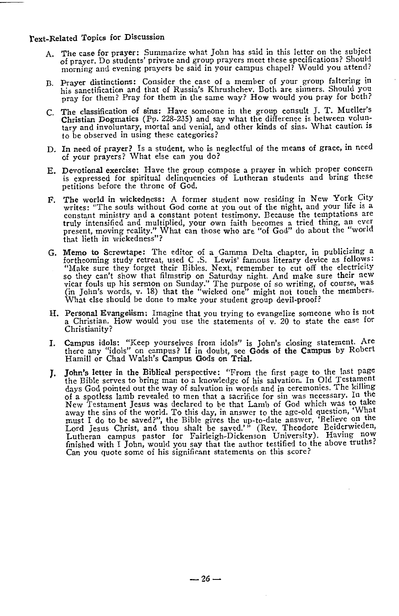- A. The case for prayer: Summarize what John has said in this letter on the subject of prayer. Do students' private and group prayers meet these specifications? Should morning and evening prayers be said in your campus chapel? Would you attend?
- B. Prayer distinctions: Consider the case of a member of your group faltering in his sanctification and that of Russia's Khrushchev. Both are sinners. Should you pray for them? Pray for them in the same way? How would you pray for both?
- C. The classification of sins: Have someone in the group consult J. T. Mueller's Christian Dogmatics (Pp. 228-235) and say what the difference is between voluntary and involuntary, mortal and venial, and other kinds of sins. What caution is to be observed in using these categories?
- D. In need of prayer? Is a student, who is neglectful of the means of grace, in need of your prayers? What else can you do?
- E. Devotional exercise: Have the group compose a prayer in which proper concern is expressed for spiritual delinquencies of Lutheran students and bring these petitions before the throne of God.
- F. The world in wickedness: A former student now residing in New York City writes: "The souls without God come at you out of the night, and your life is a constant ministry and a constant potent testimony. Because the temptations are truly intensified and multiplied, your own faith becomes a tried thing, an ever present, moving reality." What can those who are "of God" do ab that lieth in wickedness"?
- G. Memo **to** Screwtape: The editor of a Gamma Delta chapter, in publicizing a forthcoming study retreat, used C .S. Lewis' famous literary device as follows: "Make sure they forget their Bibles. Next, remember to cut off the electricity so they can't show that filmstrip on Saturday night. And make sure their new vicar fouls up his sermon on Sunday." The purpose of so writing, o What else should be done to make your student group devil-proof?
- H. Personal Evangelism: Imagine that you trying to evangelize someone who is not a Christian. How would you use the statements of v. 20 to state the case for Christianity?
- I. Campus idols: "Keep yourselves from idols" is John's closing statement. Are there any "idols" on campus? If in doubt, see Gods of the Campus by Robert Hamill or Chad Walsh's Campus Gods on Trial.
- 1. **John's letter in the Biblical** perspective: "From the first page to the last page the Bible serves to bring man to a knowledge of his salvation. In Old Testament days God pointed out the way of salvation in words and in ceremonies. The killing of a spotless lamb revealed to men that a sacrifice for sin was necessary. In the New Testament Jesus was declared to be that Lamb of God which was to take away the sins of the world. To this day, in answer to the age-old question, 'What must I do to be saved?", the Bible gives the up-to-date answer, 'Believe on the Lord Jesus Christ, and thou shalt be saved.'" (Rev. Theodore Beiderwieden, Lutheran campus pastor for Fairleigh-Dickenson University). Having now finished with I John, would you say that the author testified to the above truths? Can you quote some of his significant statements on this score?